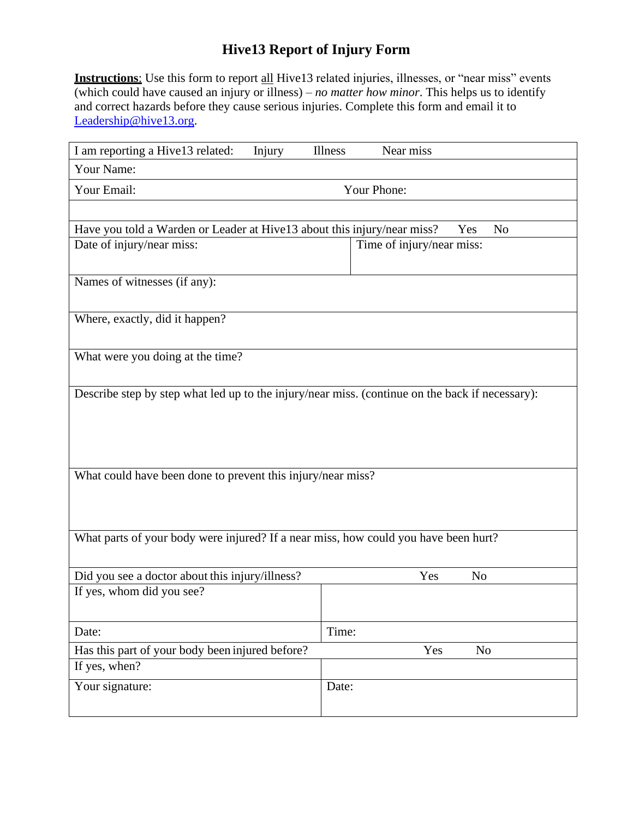**Instructions**: Use this form to report all Hive13 related injuries, illnesses, or "near miss" events (which could have caused an injury or illness) – *no matter how minor*. This helps us to identify and correct hazards before they cause serious injuries. Complete this form and email it to [Leadership@hive13.org.](mailto:Leadership@hive13.org)

| I am reporting a Hive13 related:<br>Injury                                                      | Near miss<br><b>Illness</b> |  |  |  |
|-------------------------------------------------------------------------------------------------|-----------------------------|--|--|--|
| Your Name:                                                                                      |                             |  |  |  |
| Your Email:                                                                                     | Your Phone:                 |  |  |  |
|                                                                                                 |                             |  |  |  |
| Have you told a Warden or Leader at Hive13 about this injury/near miss?                         | N <sub>o</sub><br>Yes       |  |  |  |
| Date of injury/near miss:                                                                       | Time of injury/near miss:   |  |  |  |
| Names of witnesses (if any):                                                                    |                             |  |  |  |
| Where, exactly, did it happen?                                                                  |                             |  |  |  |
| What were you doing at the time?                                                                |                             |  |  |  |
| Describe step by step what led up to the injury/near miss. (continue on the back if necessary): |                             |  |  |  |
| What could have been done to prevent this injury/near miss?                                     |                             |  |  |  |
| What parts of your body were injured? If a near miss, how could you have been hurt?             |                             |  |  |  |
| Did you see a doctor about this injury/illness?                                                 | Yes<br>N <sub>o</sub>       |  |  |  |
| If yes, whom did you see?                                                                       |                             |  |  |  |
| Date:                                                                                           | Time:                       |  |  |  |
| Has this part of your body been injured before?<br>If yes, when?                                | Yes<br>N <sub>o</sub>       |  |  |  |
| Your signature:                                                                                 | Date:                       |  |  |  |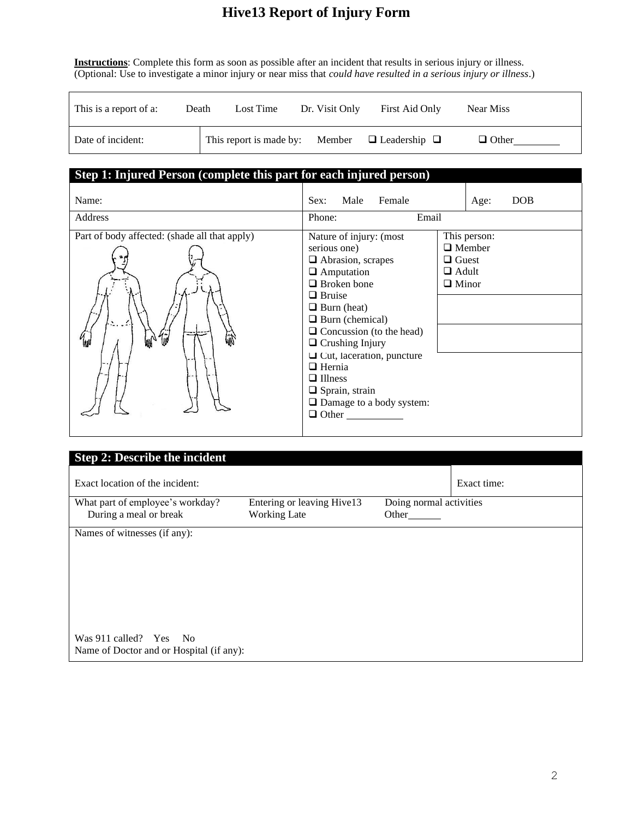**Instructions**: Complete this form as soon as possible after an incident that results in serious injury or illness. (Optional: Use to investigate a minor injury or near miss that *could have resulted in a serious injury or illness*.)

| This is a report of a: | Death | Lost Time                                               | Dr. Visit Only | First Aid Only | Near Miss    |
|------------------------|-------|---------------------------------------------------------|----------------|----------------|--------------|
| Date of incident:      |       | This report is made by: Member $\Box$ Leadership $\Box$ |                |                | $\Box$ Other |

| Step 1: Injured Person (complete this part for each injured person)                                      |                                                                                                                                                                                                                                              |                                                                               |
|----------------------------------------------------------------------------------------------------------|----------------------------------------------------------------------------------------------------------------------------------------------------------------------------------------------------------------------------------------------|-------------------------------------------------------------------------------|
| Name:<br>Address                                                                                         | Male<br>Female<br>Sex:<br>Phone:<br>Email                                                                                                                                                                                                    | DOB<br>Age:                                                                   |
| Part of body affected: (shade all that apply)<br>$\sum_{i=1}^{n}$<br>$\mathbb{Z}^{\mathcal{N}}$<br>الالأ | Nature of injury: (most<br>serious one)<br>$\Box$ Abrasion, scrapes<br>$\Box$ Amputation<br>$\Box$ Broken bone<br>$\Box$ Bruise<br>$\Box$ Burn (heat)<br>$\Box$ Burn (chemical)<br>$\Box$ Concussion (to the head)<br>$\Box$ Crushing Injury | This person:<br>$\Box$ Member<br>$\Box$ Guest<br>$\Box$ Adult<br>$\Box$ Minor |
|                                                                                                          | $\Box$ Cut, laceration, puncture<br>$\Box$ Hernia<br>$\Box$ Illness<br>$\Box$ Sprain, strain<br>□ Damage to a body system:<br>$\Box$ Other                                                                                                   |                                                                               |

| <b>Step 2: Describe the incident</b>                       |                                                   |                                  |             |
|------------------------------------------------------------|---------------------------------------------------|----------------------------------|-------------|
| Exact location of the incident:                            |                                                   |                                  | Exact time: |
| What part of employee's workday?<br>During a meal or break | Entering or leaving Hive13<br><b>Working Late</b> | Doing normal activities<br>Other |             |
| Names of witnesses (if any):                               |                                                   |                                  |             |
|                                                            |                                                   |                                  |             |
|                                                            |                                                   |                                  |             |
| Was 911 called? Yes No                                     |                                                   |                                  |             |
| Name of Doctor and or Hospital (if any):                   |                                                   |                                  |             |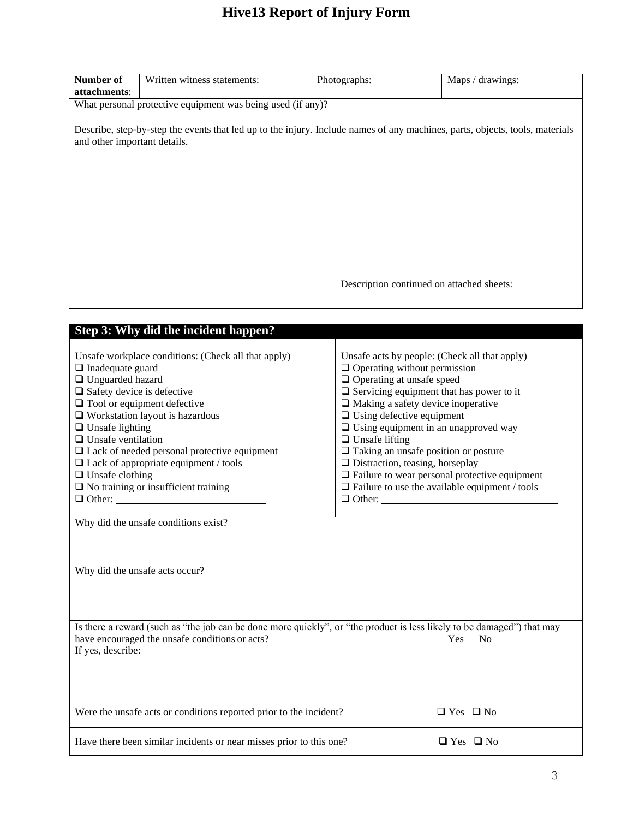| Number of<br>attachments:                                                                                                                                                                                  | Written witness statements:                                                                                                                                                                                                                                                                                                                        | Photographs:                                                                                                                                                                                                                                                                                                                                                                                                                                                                           | $\overline{Maps}/$ drawings:                         |
|------------------------------------------------------------------------------------------------------------------------------------------------------------------------------------------------------------|----------------------------------------------------------------------------------------------------------------------------------------------------------------------------------------------------------------------------------------------------------------------------------------------------------------------------------------------------|----------------------------------------------------------------------------------------------------------------------------------------------------------------------------------------------------------------------------------------------------------------------------------------------------------------------------------------------------------------------------------------------------------------------------------------------------------------------------------------|------------------------------------------------------|
| What personal protective equipment was being used (if any)?                                                                                                                                                |                                                                                                                                                                                                                                                                                                                                                    |                                                                                                                                                                                                                                                                                                                                                                                                                                                                                        |                                                      |
| and other important details.                                                                                                                                                                               | Describe, step-by-step the events that led up to the injury. Include names of any machines, parts, objects, tools, materials                                                                                                                                                                                                                       |                                                                                                                                                                                                                                                                                                                                                                                                                                                                                        |                                                      |
|                                                                                                                                                                                                            |                                                                                                                                                                                                                                                                                                                                                    | Description continued on attached sheets:                                                                                                                                                                                                                                                                                                                                                                                                                                              |                                                      |
|                                                                                                                                                                                                            | Step 3: Why did the incident happen?                                                                                                                                                                                                                                                                                                               |                                                                                                                                                                                                                                                                                                                                                                                                                                                                                        |                                                      |
| $\Box$ Inadequate guard<br>□ Unguarded hazard<br>$\Box$ Safety device is defective<br>$\Box$ Unsafe lighting<br>$\Box$ Unsafe ventilation<br>$\Box$ Unsafe clothing                                        | Unsafe workplace conditions: (Check all that apply)<br>$\Box$ Tool or equipment defective<br>$\Box$ Workstation layout is hazardous<br>$\Box$ Lack of needed personal protective equipment<br>$\Box$ Lack of appropriate equipment / tools<br>$\Box$ No training or insufficient training<br>$\Box$ Other:<br>Why did the unsafe conditions exist? | Unsafe acts by people: (Check all that apply)<br>$\Box$ Operating without permission<br>$\Box$ Operating at unsafe speed<br>$\Box$ Servicing equipment that has power to it<br>$\Box$ Making a safety device inoperative<br>$\Box$ Using defective equipment<br>$\Box$ Using equipment in an unapproved way<br>$\Box$ Unsafe lifting<br>$\Box$ Taking an unsafe position or posture<br>$\Box$ Distraction, teasing, horseplay<br>$\Box$ Failure to use the available equipment / tools | $\Box$ Failure to wear personal protective equipment |
|                                                                                                                                                                                                            | Why did the unsafe acts occur?                                                                                                                                                                                                                                                                                                                     |                                                                                                                                                                                                                                                                                                                                                                                                                                                                                        |                                                      |
| Is there a reward (such as "the job can be done more quickly", or "the product is less likely to be damaged") that may<br>have encouraged the unsafe conditions or acts?<br>Yes<br>No<br>If yes, describe: |                                                                                                                                                                                                                                                                                                                                                    |                                                                                                                                                                                                                                                                                                                                                                                                                                                                                        |                                                      |
|                                                                                                                                                                                                            | Were the unsafe acts or conditions reported prior to the incident?                                                                                                                                                                                                                                                                                 |                                                                                                                                                                                                                                                                                                                                                                                                                                                                                        | $\Box$ Yes $\Box$ No                                 |
|                                                                                                                                                                                                            | Have there been similar incidents or near misses prior to this one?                                                                                                                                                                                                                                                                                |                                                                                                                                                                                                                                                                                                                                                                                                                                                                                        | $\Box$ Yes $\Box$ No                                 |